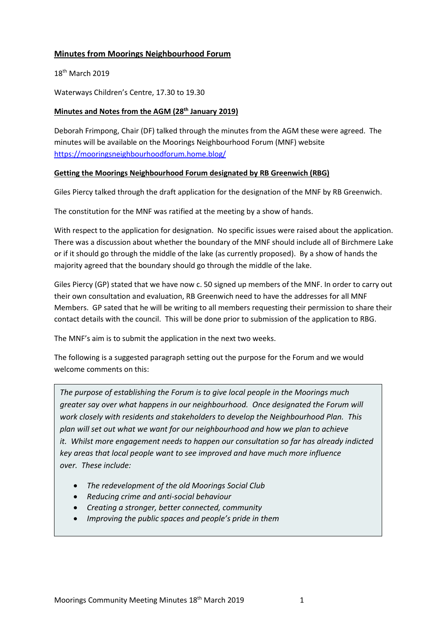# **Minutes from Moorings Neighbourhood Forum**

18<sup>th</sup> March 2019

Waterways Children's Centre, 17.30 to 19.30

## **Minutes and Notes from the AGM (28th January 2019)**

Deborah Frimpong, Chair (DF) talked through the minutes from the AGM these were agreed. The minutes will be available on the Moorings Neighbourhood Forum (MNF) website <https://mooringsneighbourhoodforum.home.blog/>

#### **Getting the Moorings Neighbourhood Forum designated by RB Greenwich (RBG)**

Giles Piercy talked through the draft application for the designation of the MNF by RB Greenwich.

The constitution for the MNF was ratified at the meeting by a show of hands.

With respect to the application for designation. No specific issues were raised about the application. There was a discussion about whether the boundary of the MNF should include all of Birchmere Lake or if it should go through the middle of the lake (as currently proposed). By a show of hands the majority agreed that the boundary should go through the middle of the lake.

Giles Piercy (GP) stated that we have now c. 50 signed up members of the MNF. In order to carry out their own consultation and evaluation, RB Greenwich need to have the addresses for all MNF Members. GP sated that he will be writing to all members requesting their permission to share their contact details with the council. This will be done prior to submission of the application to RBG.

The MNF's aim is to submit the application in the next two weeks.

The following is a suggested paragraph setting out the purpose for the Forum and we would welcome comments on this:

*The purpose of establishing the Forum is to give local people in the Moorings much greater say over what happens in our neighbourhood. Once designated the Forum will work closely with residents and stakeholders to develop the Neighbourhood Plan. This plan will set out what we want for our neighbourhood and how we plan to achieve it. Whilst more engagement needs to happen our consultation so far has already indicted key areas that local people want to see improved and have much more influence over. These include:*

- *The redevelopment of the old Moorings Social Club*
- *Reducing crime and anti-social behaviour*
- *Creating a stronger, better connected, community*
- *Improving the public spaces and people's pride in them*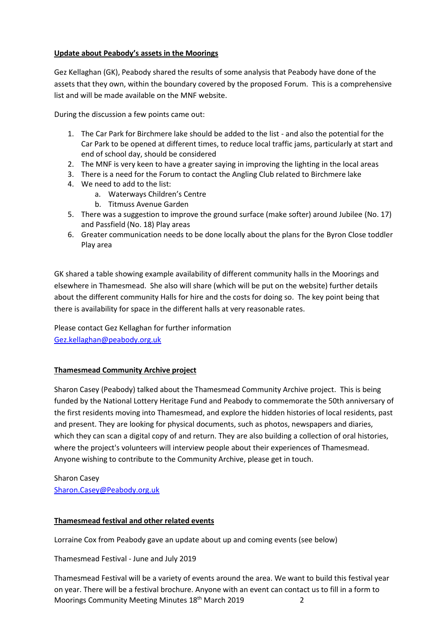## **Update about Peabody's assets in the Moorings**

Gez Kellaghan (GK), Peabody shared the results of some analysis that Peabody have done of the assets that they own, within the boundary covered by the proposed Forum. This is a comprehensive list and will be made available on the MNF website.

During the discussion a few points came out:

- 1. The Car Park for Birchmere lake should be added to the list and also the potential for the Car Park to be opened at different times, to reduce local traffic jams, particularly at start and end of school day, should be considered
- 2. The MNF is very keen to have a greater saying in improving the lighting in the local areas
- 3. There is a need for the Forum to contact the Angling Club related to Birchmere lake
- 4. We need to add to the list:
	- a. Waterways Children's Centre
	- b. Titmuss Avenue Garden
- 5. There was a suggestion to improve the ground surface (make softer) around Jubilee (No. 17) and Passfield (No. 18) Play areas
- 6. Greater communication needs to be done locally about the plans for the Byron Close toddler Play area

GK shared a table showing example availability of different community halls in the Moorings and elsewhere in Thamesmead. She also will share (which will be put on the website) further details about the different community Halls for hire and the costs for doing so. The key point being that there is availability for space in the different halls at very reasonable rates.

Please contact Gez Kellaghan for further information [Gez.kellaghan@peabody.org.uk](mailto:Gez.kellaghan@peabody.org.uk)

## **Thamesmead Community Archive project**

Sharon Casey (Peabody) talked about the Thamesmead Community Archive project. This is being funded by the National Lottery Heritage Fund and Peabody to commemorate the 50th anniversary of the first residents moving into Thamesmead, and explore the hidden histories of local residents, past and present. They are looking for physical documents, such as photos, newspapers and diaries, which they can scan a digital copy of and return. They are also building a collection of oral histories, where the project's volunteers will interview people about their experiences of Thamesmead. Anyone wishing to contribute to the Community Archive, please get in touch.

Sharon Casey [Sharon.Casey@Peabody.org.uk](mailto:Sharon.Casey@Peabody.org.uk)

## **Thamesmead festival and other related events**

Lorraine Cox from Peabody gave an update about up and coming events (see below)

Thamesmead Festival - June and July 2019

Moorings Community Meeting Minutes 18<sup>th</sup> March 2019 **2018** Thamesmead Festival will be a variety of events around the area. We want to build this festival year on year. There will be a festival brochure. Anyone with an event can contact us to fill in a form to